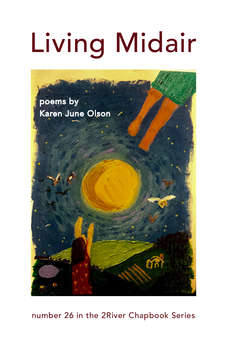# Living Midair



# number 26 in the 2River Chapbook Series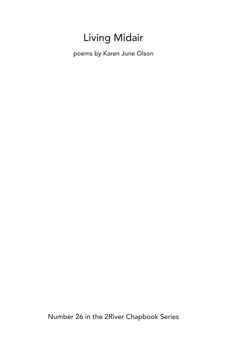# Living Midair

poems by Karen June Olson

Number 26 in the 2River Chapbook Series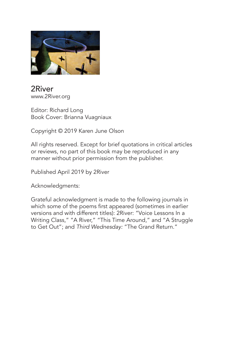

2River www.2River.org

Editor: Richard Long Book Cover: Brianna Vuagniaux

Copyright © 2019 Karen June Olson

All rights reserved. Except for brief quotations in critical articles or reviews, no part of this book may be reproduced in any manner without prior permission from the publisher.

Published April 2019 by 2River

Acknowledgments:

Grateful acknowledgment is made to the following journals in which some of the poems first appeared (sometimes in earlier versions and with different titles): 2River: "Voice Lessons In a Writing Class," "A River," "This Time Around," and "A Struggle to Get Out"; and *Third Wednesday:* "The Grand Return."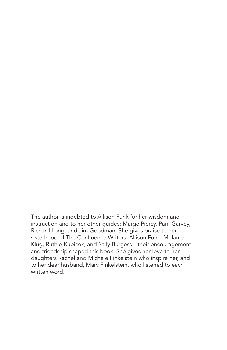The author is indebted to Allison Funk for her wisdom and instruction and to her other guides: Marge Piercy, Pam Garvey, Richard Long, and Jim Goodman. She gives praise to her sisterhood of The Confluence Writers: Allison Funk, Melanie Klug, Ruthie Kubicek, and Sally Burgess—their encouragement and friendship shaped this book. She gives her love to her daughters Rachel and Michele Finkelstein who inspire her, and to her dear husband, Marv Finkelstein, who listened to each written word.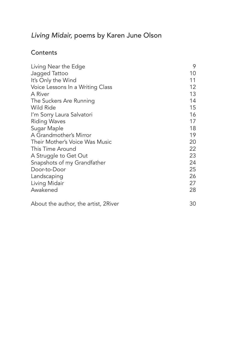# *Living Midair,* poems by Karen June Olson

## **Contents**

| Living Near the Edge                  | 9  |
|---------------------------------------|----|
| Jagged Tattoo                         | 10 |
| It's Only the Wind                    | 11 |
| Voice Lessons In a Writing Class      | 12 |
| A River                               | 13 |
| The Suckers Are Running               | 14 |
| Wild Ride                             | 15 |
| I'm Sorry Laura Salvatori             | 16 |
| <b>Riding Waves</b>                   | 17 |
| Sugar Maple                           | 18 |
| A Grandmother's Mirror                | 19 |
| Their Mother's Voice Was Music        | 20 |
| This Time Around                      | 22 |
| A Struggle to Get Out                 | 23 |
| Snapshots of my Grandfather           | 24 |
| Door-to-Door                          | 25 |
| Landscaping                           | 26 |
| Living Midair                         | 27 |
| Awakened                              | 28 |
| About the author, the artist, 2 River | 30 |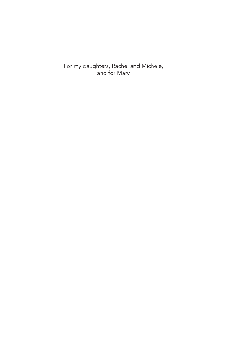For my daughters, Rachel and Michele, and for Marv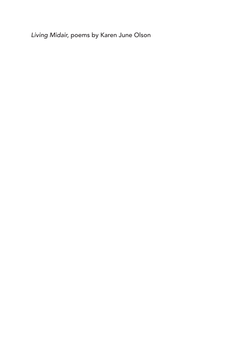*Living Midair,* poems by Karen June Olson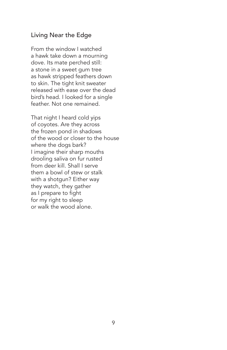#### Living Near the Edge

From the window I watched a hawk take down a mourning dove. Its mate perched still: a stone in a sweet gum tree as hawk stripped feathers down to skin. The tight knit sweater released with ease over the dead bird's head. I looked for a single feather. Not one remained.

That night I heard cold yips of coyotes. Are they across the frozen pond in shadows of the wood or closer to the house where the dogs bark? I imagine their sharp mouths drooling saliva on fur rusted from deer kill. Shall I serve them a bowl of stew or stalk with a shotgun? Either way they watch, they gather as I prepare to fight for my right to sleep or walk the wood alone.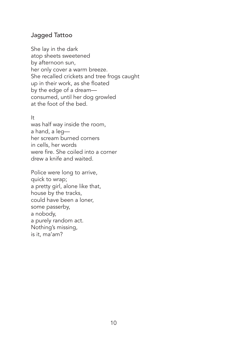#### Jagged Tattoo

She lay in the dark atop sheets sweetened by afternoon sun, her only cover a warm breeze. She recalled crickets and tree frogs caught up in their work, as she floated by the edge of a dream consumed, until her dog growled at the foot of the bed.

#### It

was half way inside the room, a hand, a leg her scream burned corners in cells, her words were fire. She coiled into a corner drew a knife and waited.

Police were long to arrive, quick to wrap; a pretty girl, alone like that, house by the tracks, could have been a loner, some passerby, a nobody, a purely random act. Nothing's missing, is it, ma'am?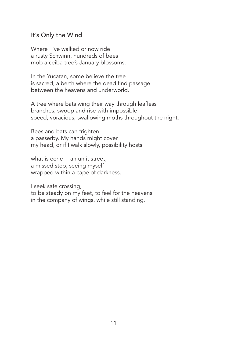#### It's Only the Wind

Where I 've walked or now ride a rusty Schwinn, hundreds of bees mob a ceiba tree's January blossoms.

In the Yucatan, some believe the tree is sacred, a berth where the dead find passage between the heavens and underworld.

A tree where bats wing their way through leafless branches, swoop and rise with impossible speed, voracious, swallowing moths throughout the night.

Bees and bats can frighten a passerby. My hands might cover my head, or if I walk slowly, possibility hosts

what is eerie— an unlit street, a missed step, seeing myself wrapped within a cape of darkness.

I seek safe crossing, to be steady on my feet, to feel for the heavens in the company of wings, while still standing.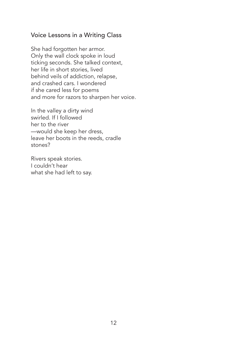#### Voice Lessons in a Writing Class

She had forgotten her armor. Only the wall clock spoke in loud ticking seconds. She talked context, her life in short stories, lived behind veils of addiction, relapse, and crashed cars. I wondered if she cared less for poems and more for razors to sharpen her voice.

In the valley a dirty wind swirled. If I followed her to the river —would she keep her dress, leave her boots in the reeds, cradle stones?

Rivers speak stories. I couldn't hear what she had left to say.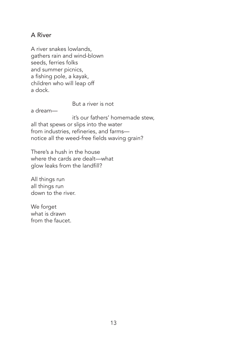#### A River

A river snakes lowlands, gathers rain and wind-blown seeds, ferries folks and summer picnics, a fishing pole, a kayak, children who will leap off a dock.

But a river is not

a dream—

 it's our fathers' homemade stew, all that spews or slips into the water from industries, refineries, and farms notice all the weed-free fields waving grain?

There's a hush in the house where the cards are dealt—what glow leaks from the landfill?

All things run all things run down to the river.

We forget what is drawn from the faucet.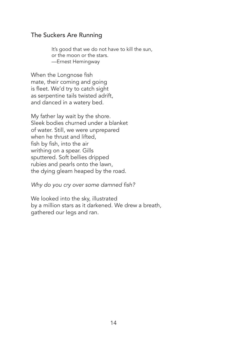#### The Suckers Are Running

It's good that we do not have to kill the sun, or the moon or the stars. —Ernest Hemingway

When the Longnose fish mate, their coming and going is fleet. We'd try to catch sight as serpentine tails twisted adrift, and danced in a watery bed.

My father lay wait by the shore. Sleek bodies churned under a blanket of water. Still, we were unprepared when he thrust and lifted, fish by fish, into the air writhing on a spear. Gills sputtered. Soft bellies dripped rubies and pearls onto the lawn, the dying gleam heaped by the road.

Why do you cry over some damned fish?

We looked into the sky, illustrated by a million stars as it darkened. We drew a breath, gathered our legs and ran.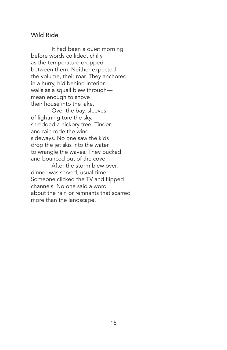#### Wild Ride

It had been a quiet morning before words collided, chilly as the temperature dropped between them. Neither expected the volume, their roar. They anchored in a hurry, hid behind interior walls as a squall blew through mean enough to shove their house into the lake.

Over the bay, sleeves of lightning tore the sky, shredded a hickory tree. Tinder and rain rode the wind sideways. No one saw the kids drop the jet skis into the water to wrangle the waves. They bucked and bounced out of the cove.

After the storm blew over, dinner was served, usual time. Someone clicked the TV and flipped channels. No one said a word about the rain or remnants that scarred more than the landscape.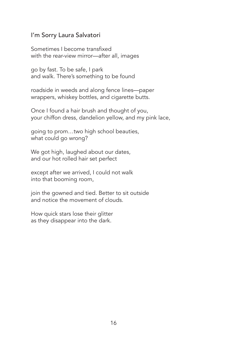#### I'm Sorry Laura Salvatori

Sometimes I become transfixed with the rear-view mirror—after all, images

go by fast. To be safe, I park and walk. There's something to be found

roadside in weeds and along fence lines—paper wrappers, whiskey bottles, and cigarette butts.

Once I found a hair brush and thought of you, your chiffon dress, dandelion yellow, and my pink lace,

going to prom…two high school beauties, what could go wrong?

We got high, laughed about our dates, and our hot rolled hair set perfect

except after we arrived, I could not walk into that booming room,

join the gowned and tied. Better to sit outside and notice the movement of clouds.

How quick stars lose their glitter as they disappear into the dark.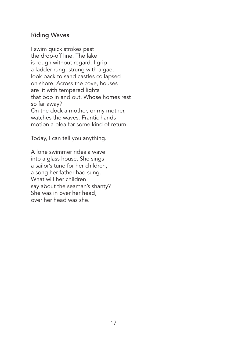#### Riding Waves

I swim quick strokes past the drop-off line. The lake is rough without regard. I grip a ladder rung, strung with algae, look back to sand castles collapsed on shore. Across the cove, houses are lit with tempered lights that bob in and out. Whose homes rest so far away? On the dock a mother, or my mother, watches the waves. Frantic hands motion a plea for some kind of return.

Today, I can tell you anything.

A lone swimmer rides a wave into a glass house. She sings a sailor's tune for her children, a song her father had sung. What will her children say about the seaman's shanty? She was in over her head, over her head was she.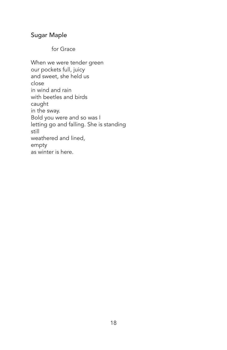## Sugar Maple

for Grace

When we were tender green our pockets full, juicy and sweet, she held us close in wind and rain with beetles and birds caught in the sway. Bold you were and so was I letting go and falling. She is standing still weathered and lined, empty as winter is here.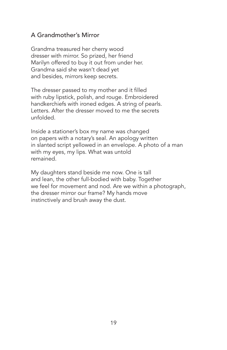## A Grandmother's Mirror

Grandma treasured her cherry wood dresser with mirror. So prized, her friend Marilyn offered to buy it out from under her. Grandma said she wasn't dead yet and besides, mirrors keep secrets.

The dresser passed to my mother and it filled with ruby lipstick, polish, and rouge. Embroidered handkerchiefs with ironed edges. A string of pearls. Letters. After the dresser moved to me the secrets unfolded.

Inside a stationer's box my name was changed on papers with a notary's seal. An apology written in slanted script yellowed in an envelope. A photo of a man with my eyes, my lips. What was untold remained.

My daughters stand beside me now. One is tall and lean, the other full-bodied with baby. Together we feel for movement and nod. Are we within a photograph, the dresser mirror our frame? My hands move instinctively and brush away the dust.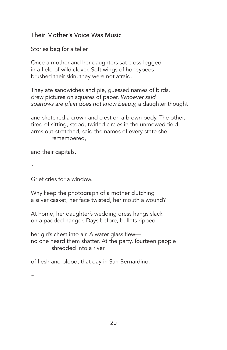## Their Mother's Voice Was Music

Stories beg for a teller.

Once a mother and her daughters sat cross-legged in a field of wild clover. Soft wings of honeybees brushed their skin, they were not afraid.

They ate sandwiches and pie, guessed names of birds, drew pictures on squares of paper. *Whoever said sparrows are plain does not know beauty,* a daughter thought

and sketched a crown and crest on a brown body. The other, tired of sitting, stood, twirled circles in the unmowed field, arms out-stretched, said the names of every state she remembered,

and their capitals.

 $\sim$ 

Grief cries for a window.

Why keep the photograph of a mother clutching a silver casket, her face twisted, her mouth a wound?

At home, her daughter's wedding dress hangs slack on a padded hanger. Days before, bullets ripped

her girl's chest into air. A water glass flew no one heard them shatter. At the party, fourteen people shredded into a river

of flesh and blood, that day in San Bernardino.

 $\sim$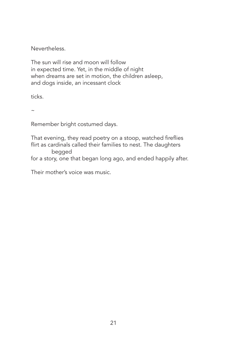Nevertheless.

The sun will rise and moon will follow in expected time. Yet, in the middle of night when dreams are set in motion, the children asleep, and dogs inside, an incessant clock

ticks.

 $\sim$ 

Remember bright costumed days.

That evening, they read poetry on a stoop, watched fireflies flirt as cardinals called their families to nest. The daughters begged

for a story, one that began long ago, and ended happily after.

Their mother's voice was music.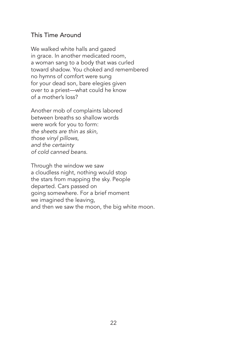#### This Time Around

We walked white halls and gazed in grace. In another medicated room, a woman sang to a body that was curled toward shadow. You choked and remembered no hymns of comfort were sung for your dead son, bare elegies given over to a priest—what could he know of a mother's loss?

Another mob of complaints labored between breaths so shallow words were work for you to form: *the sheets are thin as skin, those vinyl pillows, and the certainty of cold canned beans.* 

Through the window we saw a cloudless night, nothing would stop the stars from mapping the sky. People departed. Cars passed on going somewhere. For a brief moment we imagined the leaving, and then we saw the moon, the big white moon.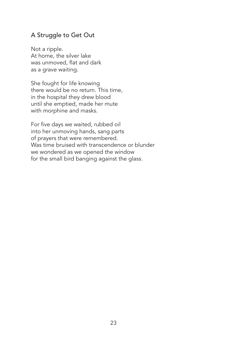## A Struggle to Get Out

Not a ripple. At home, the silver lake was unmoved, flat and dark as a grave waiting.

She fought for life knowing there would be no return. This time, in the hospital they drew blood until she emptied, made her mute with morphine and masks.

For five days we waited, rubbed oil into her unmoving hands, sang parts of prayers that were remembered. Was time bruised with transcendence or blunder we wondered as we opened the window for the small bird banging against the glass.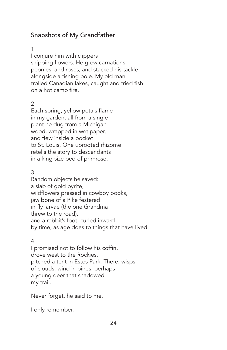# Snapshots of My Grandfather

#### 1

I conjure him with clippers snipping flowers. He grew carnations, peonies, and roses, and stacked his tackle alongside a fishing pole. My old man trolled Canadian lakes, caught and fried fish on a hot camp fire.

#### 2

Each spring, yellow petals flame in my garden, all from a single plant he dug from a Michigan wood, wrapped in wet paper, and flew inside a pocket to St. Louis. One uprooted rhizome retells the story to descendants in a king-size bed of primrose.

#### 3

Random objects he saved: a slab of gold pyrite, wildflowers pressed in cowboy books, jaw bone of a Pike festered in fly larvae (the one Grandma threw to the road), and a rabbit's foot, curled inward by time, as age does to things that have lived.

#### 4

I promised not to follow his coffin, drove west to the Rockies, pitched a tent in Estes Park. There, wisps of clouds, wind in pines, perhaps a young deer that shadowed my trail.

Never forget, he said to me.

I only remember.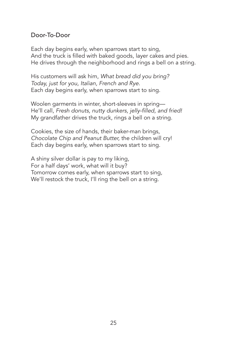#### Door-To-Door

Each day begins early, when sparrows start to sing, And the truck is filled with baked goods, layer cakes and pies. He drives through the neighborhood and rings a bell on a string.

His customers will ask him, What bread did you bring? *Today, just for you, Italian, French and Rye.* Each day begins early, when sparrows start to sing.

Woolen garments in winter, short-sleeves in spring— He'll call, Fresh donuts, nutty dunkers, jelly-filled, and fried! My grandfather drives the truck, rings a bell on a string.

Cookies, the size of hands, their baker-man brings, *Chocolate Chip and Peanut Butter,* the children will cry! Each day begins early, when sparrows start to sing.

A shiny silver dollar is pay to my liking, For a half days' work, what will it buy? Tomorrow comes early, when sparrows start to sing, We'll restock the truck, I'll ring the bell on a string.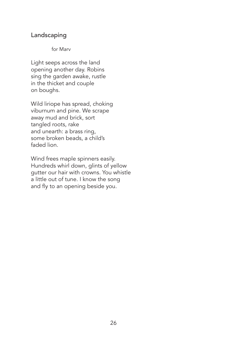#### Landscaping

#### for Marv

Light seeps across the land opening another day. Robins sing the garden awake, rustle in the thicket and couple on boughs.

Wild liriope has spread, choking viburnum and pine. We scrape away mud and brick, sort tangled roots, rake and unearth: a brass ring, some broken beads, a child's faded lion.

Wind frees maple spinners easily. Hundreds whirl down, glints of yellow gutter our hair with crowns. You whistle a little out of tune. I know the song and fly to an opening beside you.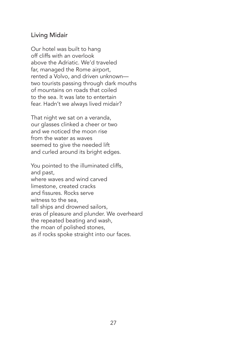#### Living Midair

Our hotel was built to hang off cliffs with an overlook above the Adriatic. We'd traveled far, managed the Rome airport, rented a Volvo, and driven unknown two tourists passing through dark mouths of mountains on roads that coiled to the sea. It was late to entertain fear. Hadn't we always lived midair?

That night we sat on a veranda, our glasses clinked a cheer or two and we noticed the moon rise from the water as waves seemed to give the needed lift and curled around its bright edges.

You pointed to the illuminated cliffs, and past, where waves and wind carved limestone, created cracks and fissures. Rocks serve witness to the sea, tall ships and drowned sailors, eras of pleasure and plunder. We overheard the repeated beating and wash, the moan of polished stones, as if rocks spoke straight into our faces.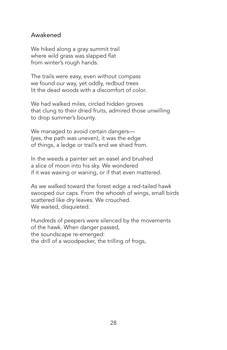#### Awakened

We hiked along a gray summit trail where wild grass was slapped flat from winter's rough hands.

The trails were easy, even without compass we found our way, yet oddly, redbud trees lit the dead woods with a discomfort of color.

We had walked miles, circled hidden groves that clung to their dried fruits, admired those unwilling to drop summer's bounty.

We managed to avoid certain dangers— (yes, the path was uneven), it was the edge of things, a ledge or trail's end we shied from.

In the weeds a painter set an easel and brushed a slice of moon into his sky. We wondered if it was waxing or waning, or if that even mattered.

As we walked toward the forest edge a red-tailed hawk swooped our caps. From the whoosh of wings, small birds scattered like dry leaves. We crouched. We waited, disquieted.

Hundreds of peepers were silenced by the movements of the hawk. When danger passed, the soundscape re-emerged: the drill of a woodpecker, the trilling of frogs,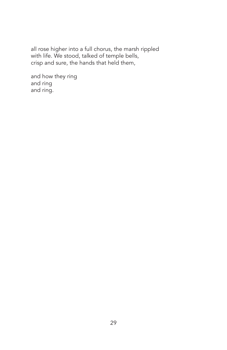all rose higher into a full chorus, the marsh rippled with life. We stood, talked of temple bells, crisp and sure, the hands that held them,

and how they ring and ring and ring.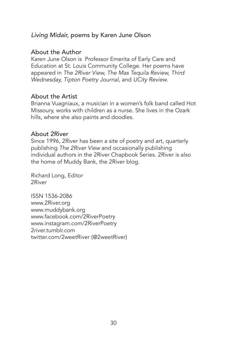### *Living Midair,* poems by Karen June Olson

#### About the Author

Karen June Olson is Professor Emerita of Early Care and Education at St. Louis Community College. Her poems have appeared in *The 2River View, The Mas Tequila Review, Third Wednesday, Tipton Poetry Journal,* and *UCity Review.*

#### About the Artist

Brianna Vuagniaux, a musician in a women's folk band called Hot Missoury, works with children as a nurse. She lives in the Ozark hills, where she also paints and doodles.

#### About 2River

Since 1996, 2River has been a site of poetry and art, quarterly publishing *The 2River View* and occasionally publishing individual authors in the 2River Chapbook Series. 2River is also the home of Muddy Bank, the 2River blog.

Richard Long, Editor 2River

ISSN 1536-2086 www.2River.org www.muddybank.org www.facebook.com/2RiverPoetry www.instagram.com/2RiverPoetry 2river.tumblr.com twitter.com/2weetRiver (@2weetRiver)